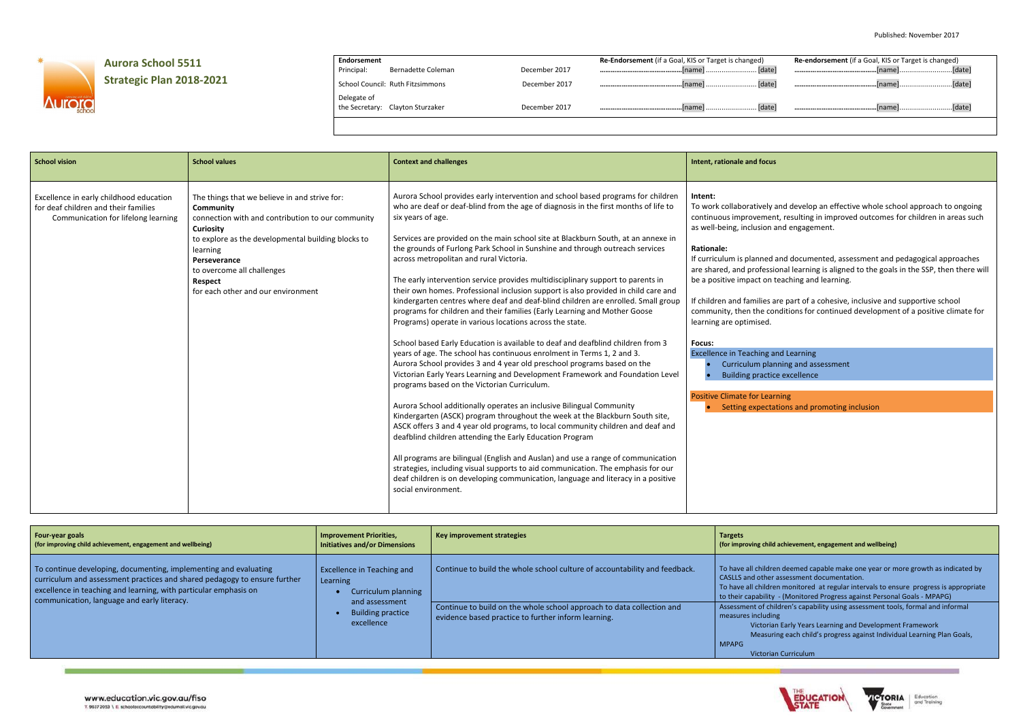

## **Aurora School 5511**

## **Strategic Plan 2018-2021**

**Endorsement**

School Council: Ruth Fitzsimmons December 2017

Delegate of the Secretary: Clayton Sturzaker **December 2017** 

Bernadette Coleman December 2017

| <b>Re-Endorsement</b> (if a Goal, KIS or Target is changed) | <b>Re-endorsement</b> (if a Goal, KIS or Target is changed) |
|-------------------------------------------------------------|-------------------------------------------------------------|
|                                                             |                                                             |
|                                                             |                                                             |
|                                                             |                                                             |
|                                                             |                                                             |

and develop an effective whole school approach to ongoing ent, resulting in improved outcomes for children in areas such and engagement.

I and documented, assessment and pedagogical approaches sional learning is aligned to the goals in the SSP, then there will i teaching and learning.

are part of a cohesive, inclusive and supportive school onditions for continued development of a positive climate for

and Learning inning and assessment ice excellence

rning ations and promoting inclusion

| <b>School vision</b>                                                                                                   | <b>School values</b>                                                                                                                                                                                                                                                                                        | <b>Context and challenges</b>                                                                                                                                                                                                                                                                                                                                                                                                                                                                                                                                                                                                                                                                                                                                                                                                                                                                                                                                                                                                                                                                                                                                                                                                                                                                                                                                                                                                                                                                                                                                                                                                                                                                                                                                                          | Intent, rationale and focus                                                                                                                                                                                                                                                                                                                                                                                                                |
|------------------------------------------------------------------------------------------------------------------------|-------------------------------------------------------------------------------------------------------------------------------------------------------------------------------------------------------------------------------------------------------------------------------------------------------------|----------------------------------------------------------------------------------------------------------------------------------------------------------------------------------------------------------------------------------------------------------------------------------------------------------------------------------------------------------------------------------------------------------------------------------------------------------------------------------------------------------------------------------------------------------------------------------------------------------------------------------------------------------------------------------------------------------------------------------------------------------------------------------------------------------------------------------------------------------------------------------------------------------------------------------------------------------------------------------------------------------------------------------------------------------------------------------------------------------------------------------------------------------------------------------------------------------------------------------------------------------------------------------------------------------------------------------------------------------------------------------------------------------------------------------------------------------------------------------------------------------------------------------------------------------------------------------------------------------------------------------------------------------------------------------------------------------------------------------------------------------------------------------------|--------------------------------------------------------------------------------------------------------------------------------------------------------------------------------------------------------------------------------------------------------------------------------------------------------------------------------------------------------------------------------------------------------------------------------------------|
| Excellence in early childhood education<br>for deaf children and their families<br>Communication for lifelong learning | The things that we believe in and strive for:<br>Community<br>connection with and contribution to our community<br><b>Curiosity</b><br>to explore as the developmental building blocks to<br>learning<br>Perseverance<br>to overcome all challenges<br><b>Respect</b><br>for each other and our environment | Aurora School provides early intervention and school based programs for children<br>who are deaf or deaf-blind from the age of diagnosis in the first months of life to<br>six years of age.<br>Services are provided on the main school site at Blackburn South, at an annexe in<br>the grounds of Furlong Park School in Sunshine and through outreach services<br>across metropolitan and rural Victoria.<br>The early intervention service provides multidisciplinary support to parents in<br>their own homes. Professional inclusion support is also provided in child care and<br>kindergarten centres where deaf and deaf-blind children are enrolled. Small group<br>programs for children and their families (Early Learning and Mother Goose<br>Programs) operate in various locations across the state.<br>School based Early Education is available to deaf and deafblind children from 3<br>years of age. The school has continuous enrolment in Terms 1, 2 and 3.<br>Aurora School provides 3 and 4 year old preschool programs based on the<br>Victorian Early Years Learning and Development Framework and Foundation Level<br>programs based on the Victorian Curriculum.<br>Aurora School additionally operates an inclusive Bilingual Community<br>Kindergarten (ASCK) program throughout the week at the Blackburn South site,<br>ASCK offers 3 and 4 year old programs, to local community children and deaf and<br>deafblind children attending the Early Education Program<br>All programs are bilingual (English and Auslan) and use a range of communication<br>strategies, including visual supports to aid communication. The emphasis for our<br>deaf children is on developing communication, language and literacy in a positive<br>social environment. | Intent:<br>To work collaboratively a<br>continuous improvemen<br>as well-being, inclusion a<br><b>Rationale:</b><br>If curriculum is planned<br>are shared, and professi<br>be a positive impact on t<br>If children and families a<br>community, then the co<br>learning are optimised.<br>Focus:<br><b>Excellence in Teaching a</b><br>Curriculum plar<br><b>Building practic</b><br><b>Positive Climate for Lear</b><br>Setting expecta |

## **(for improving child achievement, engagement and wellbeing)**

en deemed capable make one year or more growth as indicated by r assessment documentation.

The monitored at regular intervals to ensure progress is appropriate to their capability - (Monitored Progress against Personal Goals - MPAPG) hildren's capability using assessment tools, formal and informal

ian Early Years Learning and Development Framework

ring each child's progress against Individual Learning Plan Goals,

an Curriculum



Education<br>and Training

| Four-year goals                                                                                                                                                                                                                                                  | <b>Improvement Priorities,</b>                                                                                            | Key improvement strategies                                                                                                                                                                                 | <b>Targets</b>                                                                                                                                                                                          |
|------------------------------------------------------------------------------------------------------------------------------------------------------------------------------------------------------------------------------------------------------------------|---------------------------------------------------------------------------------------------------------------------------|------------------------------------------------------------------------------------------------------------------------------------------------------------------------------------------------------------|---------------------------------------------------------------------------------------------------------------------------------------------------------------------------------------------------------|
| (for improving child achievement, engagement and wellbeing)                                                                                                                                                                                                      | <b>Initiatives and/or Dimensions</b>                                                                                      |                                                                                                                                                                                                            | (for improving child a                                                                                                                                                                                  |
| To continue developing, documenting, implementing and evaluating<br>curriculum and assessment practices and shared pedagogy to ensure further<br>excellence in teaching and learning, with particular emphasis on<br>communication, language and early literacy. | Excellence in Teaching and<br>Learning<br>Curriculum planning<br>and assessment<br><b>Building practice</b><br>excellence | Continue to build the whole school culture of accountability and feedback.<br>Continue to build on the whole school approach to data collection and<br>evidence based practice to further inform learning. | To have all children<br>CASLLS and other as<br>To have all children<br>to their capability -<br>Assessment of child<br>measures including<br><b>Victorian</b><br>Measuring<br><b>MPAPG</b><br>Victorian |